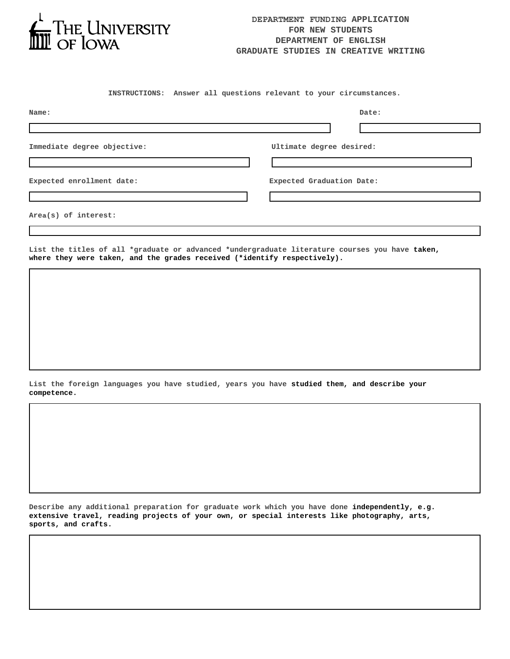

## **DEPARTMENT FUNDING APPLICATION FOR NEW STUDENTS DEPARTMENT OF ENGLISH GRADUATE STUDIES IN CREATIVE WRITING**

**INSTRUCTIONS: Answer all questions relevant to your circumstances.**

| Name:                       | Date:                     |
|-----------------------------|---------------------------|
|                             |                           |
| Immediate degree objective: | Ultimate degree desired:  |
|                             |                           |
| Expected enrollment date:   | Expected Graduation Date: |
|                             |                           |
| $Area(s)$ of interest:      |                           |

**List the titles of all \*graduate or advanced \*undergraduate literature courses you have taken, where they were taken, and the grades received (\*identify respectively).**

**List the foreign languages you have studied, years you have studied them, and describe your competence.**

**Describe any additional preparation for graduate work which you have done independently, e.g. extensive travel, reading projects of your own, or special interests like photography, arts, sports, and crafts.**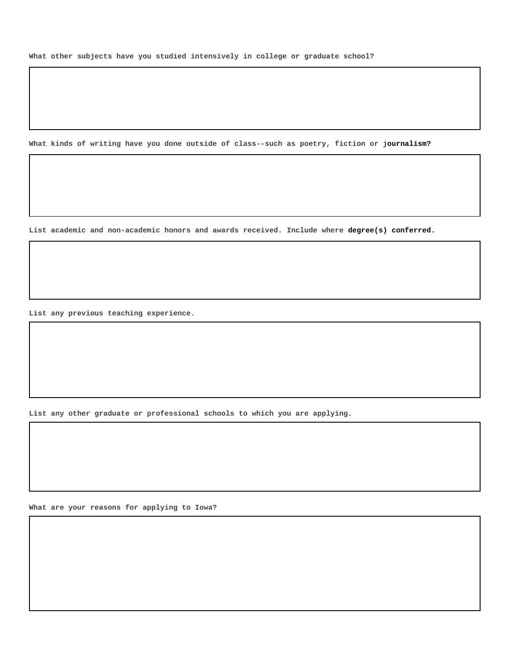**What other subjects have you studied intensively in college or graduate school?**

**What kinds of writing have you done outside of class--such as poetry, fiction or journalism?**

**List academic and non-academic honors and awards received. Include where degree(s) conferred.**

**List any previous teaching experience.**

**List any other graduate or professional schools to which you are applying.**

**What are your reasons for applying to Iowa?**